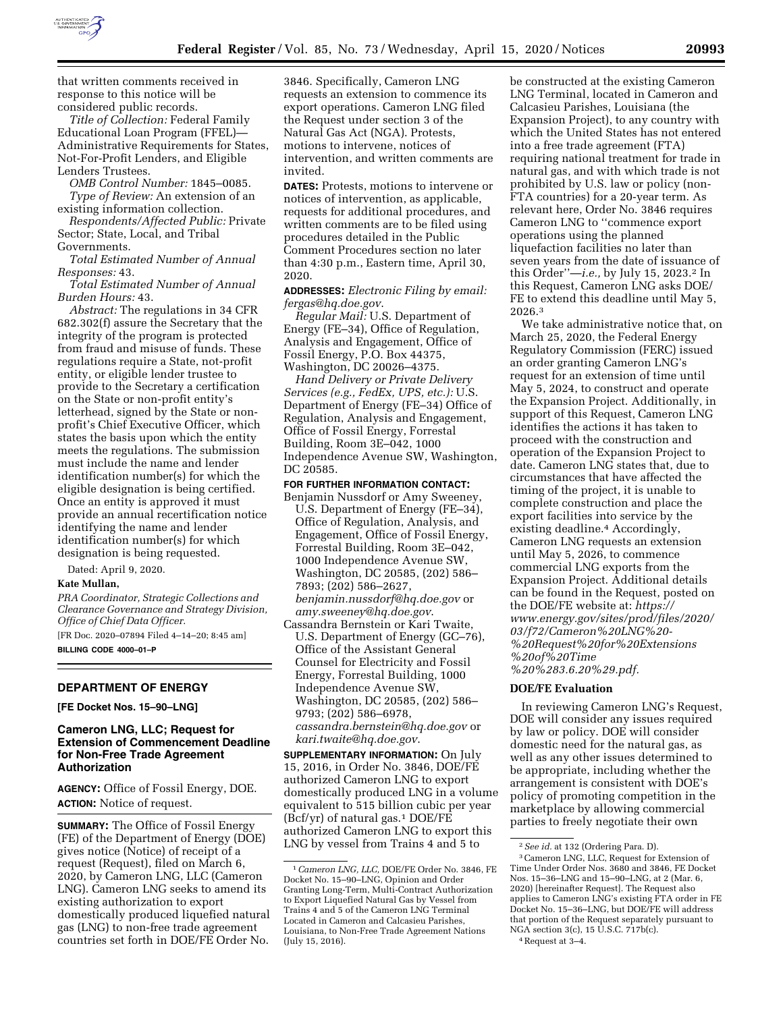

that written comments received in response to this notice will be considered public records.

*Title of Collection:* Federal Family Educational Loan Program (FFEL)— Administrative Requirements for States, Not-For-Profit Lenders, and Eligible Lenders Trustees.

*OMB Control Number:* 1845–0085.

*Type of Review:* An extension of an existing information collection.

*Respondents/Affected Public:* Private Sector; State, Local, and Tribal Governments.

*Total Estimated Number of Annual Responses:* 43.

*Total Estimated Number of Annual Burden Hours:* 43.

*Abstract:* The regulations in 34 CFR 682.302(f) assure the Secretary that the integrity of the program is protected from fraud and misuse of funds. These regulations require a State, not-profit entity, or eligible lender trustee to provide to the Secretary a certification on the State or non-profit entity's letterhead, signed by the State or nonprofit's Chief Executive Officer, which states the basis upon which the entity meets the regulations. The submission must include the name and lender identification number(s) for which the eligible designation is being certified. Once an entity is approved it must provide an annual recertification notice identifying the name and lender identification number(s) for which designation is being requested.

Dated: April 9, 2020.

# **Kate Mullan,**

*PRA Coordinator, Strategic Collections and Clearance Governance and Strategy Division, Office of Chief Data Officer.*  [FR Doc. 2020–07894 Filed 4–14–20; 8:45 am]

**BILLING CODE 4000–01–P** 

# **DEPARTMENT OF ENERGY**

**[FE Docket Nos. 15–90–LNG]** 

## **Cameron LNG, LLC; Request for Extension of Commencement Deadline for Non-Free Trade Agreement Authorization**

**AGENCY:** Office of Fossil Energy, DOE. **ACTION:** Notice of request.

**SUMMARY:** The Office of Fossil Energy (FE) of the Department of Energy (DOE) gives notice (Notice) of receipt of a request (Request), filed on March 6, 2020, by Cameron LNG, LLC (Cameron LNG). Cameron LNG seeks to amend its existing authorization to export domestically produced liquefied natural gas (LNG) to non-free trade agreement countries set forth in DOE/FE Order No.

3846. Specifically, Cameron LNG requests an extension to commence its export operations. Cameron LNG filed the Request under section 3 of the Natural Gas Act (NGA). Protests, motions to intervene, notices of intervention, and written comments are invited.

**DATES:** Protests, motions to intervene or notices of intervention, as applicable, requests for additional procedures, and written comments are to be filed using procedures detailed in the Public Comment Procedures section no later than 4:30 p.m., Eastern time, April 30, 2020.

**ADDRESSES:** *Electronic Filing by email: [fergas@hq.doe.gov](mailto:fergas@hq.doe.gov)*.

*Regular Mail:* U.S. Department of Energy (FE–34), Office of Regulation, Analysis and Engagement, Office of Fossil Energy, P.O. Box 44375, Washington, DC 20026–4375.

*Hand Delivery or Private Delivery Services (e.g., FedEx, UPS, etc.):* U.S. Department of Energy (FE–34) Office of Regulation, Analysis and Engagement, Office of Fossil Energy, Forrestal Building, Room 3E–042, 1000 Independence Avenue SW, Washington, DC 20585.

**FOR FURTHER INFORMATION CONTACT:** 

- Benjamin Nussdorf or Amy Sweeney, U.S. Department of Energy (FE–34), Office of Regulation, Analysis, and Engagement, Office of Fossil Energy, Forrestal Building, Room 3E–042, 1000 Independence Avenue SW, Washington, DC 20585, (202) 586– 7893; (202) 586–2627, *[benjamin.nussdorf@hq.doe.gov](mailto:benjamin.nussdorf@hq.doe.gov)* or *[amy.sweeney@hq.doe.gov](mailto:amy.sweeney@hq.doe.gov)*.
- Cassandra Bernstein or Kari Twaite, U.S. Department of Energy (GC–76), Office of the Assistant General Counsel for Electricity and Fossil Energy, Forrestal Building, 1000 Independence Avenue SW, Washington, DC 20585, (202) 586– 9793; (202) 586–6978, *[cassandra.bernstein@hq.doe.gov](mailto:cassandra.bernstein@hq.doe.gov)* or *[kari.twaite@hq.doe.gov](mailto:kari.twaite@hq.doe.gov)*.

**SUPPLEMENTARY INFORMATION:** On July 15, 2016, in Order No. 3846, DOE/FE authorized Cameron LNG to export domestically produced LNG in a volume equivalent to 515 billion cubic per year (Bcf/yr) of natural gas.1 DOE/FE authorized Cameron LNG to export this LNG by vessel from Trains 4 and 5 to

be constructed at the existing Cameron LNG Terminal, located in Cameron and Calcasieu Parishes, Louisiana (the Expansion Project), to any country with which the United States has not entered into a free trade agreement (FTA) requiring national treatment for trade in natural gas, and with which trade is not prohibited by U.S. law or policy (non-FTA countries) for a 20-year term. As relevant here, Order No. 3846 requires Cameron LNG to ''commence export operations using the planned liquefaction facilities no later than seven years from the date of issuance of this Order''—*i.e.,* by July 15, 2023.2 In this Request, Cameron LNG asks DOE/ FE to extend this deadline until May 5, 2026.3

We take administrative notice that, on March 25, 2020, the Federal Energy Regulatory Commission (FERC) issued an order granting Cameron LNG's request for an extension of time until May 5, 2024, to construct and operate the Expansion Project. Additionally, in support of this Request, Cameron LNG identifies the actions it has taken to proceed with the construction and operation of the Expansion Project to date. Cameron LNG states that, due to circumstances that have affected the timing of the project, it is unable to complete construction and place the export facilities into service by the existing deadline.4 Accordingly, Cameron LNG requests an extension until May 5, 2026, to commence commercial LNG exports from the Expansion Project. Additional details can be found in the Request, posted on the DOE/FE website at: *[https://](https://www.energy.gov/sites/prod/files/2020/03/f72/Cameron%20LNG%20-%20Request%20for%20Extensions%20of%20Time%20%283.6.20%29.pdf) [www.energy.gov/sites/prod/files/2020/](https://www.energy.gov/sites/prod/files/2020/03/f72/Cameron%20LNG%20-%20Request%20for%20Extensions%20of%20Time%20%283.6.20%29.pdf) [03/f72/Cameron%20LNG%20-](https://www.energy.gov/sites/prod/files/2020/03/f72/Cameron%20LNG%20-%20Request%20for%20Extensions%20of%20Time%20%283.6.20%29.pdf) [%20Request%20for%20Extensions](https://www.energy.gov/sites/prod/files/2020/03/f72/Cameron%20LNG%20-%20Request%20for%20Extensions%20of%20Time%20%283.6.20%29.pdf) [%20of%20Time](https://www.energy.gov/sites/prod/files/2020/03/f72/Cameron%20LNG%20-%20Request%20for%20Extensions%20of%20Time%20%283.6.20%29.pdf) [%20%283.6.20%29.pdf.](https://www.energy.gov/sites/prod/files/2020/03/f72/Cameron%20LNG%20-%20Request%20for%20Extensions%20of%20Time%20%283.6.20%29.pdf)* 

#### **DOE/FE Evaluation**

In reviewing Cameron LNG's Request, DOE will consider any issues required by law or policy. DOE will consider domestic need for the natural gas, as well as any other issues determined to be appropriate, including whether the arrangement is consistent with DOE's policy of promoting competition in the marketplace by allowing commercial parties to freely negotiate their own

<sup>1</sup>*Cameron LNG, LLC,* DOE/FE Order No. 3846, FE Docket No. 15–90–LNG, Opinion and Order Granting Long-Term, Multi-Contract Authorization to Export Liquefied Natural Gas by Vessel from Trains 4 and 5 of the Cameron LNG Terminal Located in Cameron and Calcasieu Parishes, Louisiana, to Non-Free Trade Agreement Nations (July 15, 2016).

<sup>2</sup>*See id.* at 132 (Ordering Para. D).

<sup>3</sup>Cameron LNG, LLC, Request for Extension of Time Under Order Nos. 3680 and 3846, FE Docket Nos. 15–36–LNG and 15–90–LNG, at 2 (Mar. 6, 2020) [hereinafter Request]. The Request also applies to Cameron LNG's existing FTA order in FE Docket No. 15–36–LNG, but DOE/FE will address that portion of the Request separately pursuant to NGA section 3(c), 15 U.S.C. 717b(c). 4Request at 3–4.